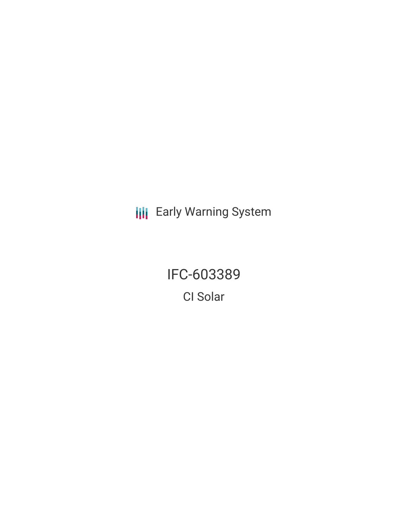**III** Early Warning System

IFC-603389 CI Solar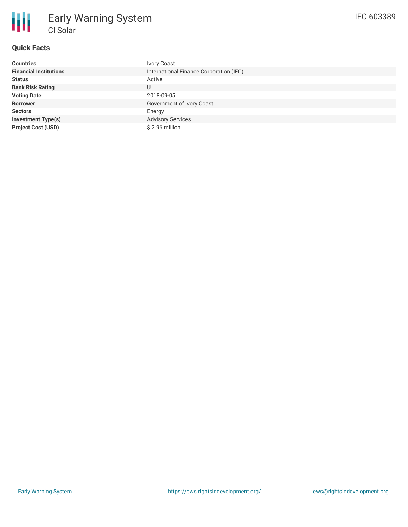

# **Quick Facts**

| <b>Countries</b>              | <b>Ivory Coast</b>                      |
|-------------------------------|-----------------------------------------|
| <b>Financial Institutions</b> | International Finance Corporation (IFC) |
| <b>Status</b>                 | Active                                  |
| <b>Bank Risk Rating</b>       | U                                       |
| <b>Voting Date</b>            | 2018-09-05                              |
| <b>Borrower</b>               | Government of Ivory Coast               |
| <b>Sectors</b>                | Energy                                  |
| <b>Investment Type(s)</b>     | <b>Advisory Services</b>                |
| <b>Project Cost (USD)</b>     | \$2.96 million                          |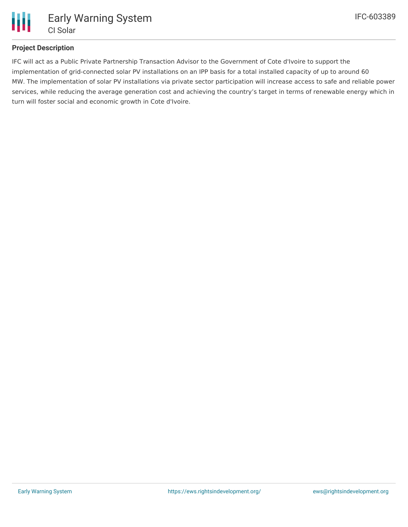

### **Project Description**

IFC will act as a Public Private Partnership Transaction Advisor to the Government of Cote d'Ivoire to support the implementation of grid-connected solar PV installations on an IPP basis for a total installed capacity of up to around 60 MW. The implementation of solar PV installations via private sector participation will increase access to safe and reliable power services, while reducing the average generation cost and achieving the country's target in terms of renewable energy which in turn will foster social and economic growth in Cote d'Ivoire.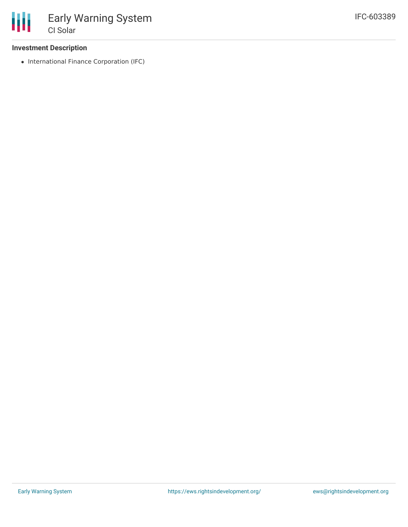#### **Investment Description**

• International Finance Corporation (IFC)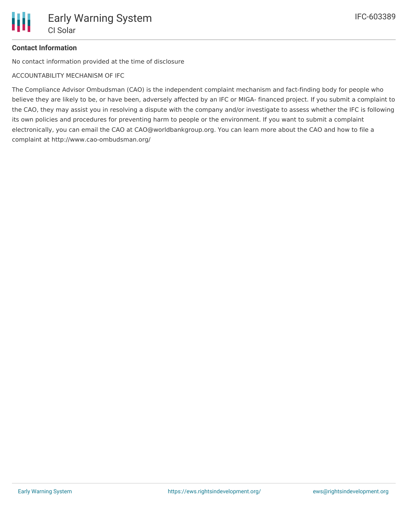## **Contact Information**

No contact information provided at the time of disclosure

ACCOUNTABILITY MECHANISM OF IFC

The Compliance Advisor Ombudsman (CAO) is the independent complaint mechanism and fact-finding body for people who believe they are likely to be, or have been, adversely affected by an IFC or MIGA- financed project. If you submit a complaint to the CAO, they may assist you in resolving a dispute with the company and/or investigate to assess whether the IFC is following its own policies and procedures for preventing harm to people or the environment. If you want to submit a complaint electronically, you can email the CAO at CAO@worldbankgroup.org. You can learn more about the CAO and how to file a complaint at http://www.cao-ombudsman.org/